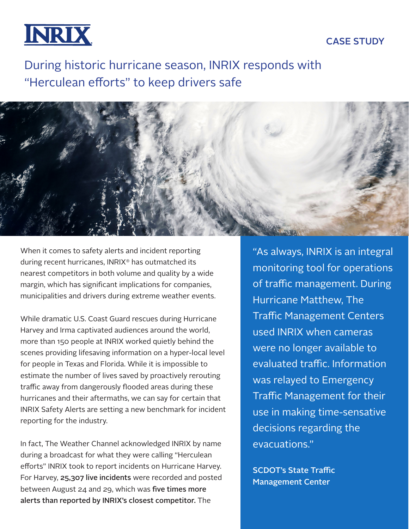**INRIX** 

## CASE STUDY

During historic hurricane season, INRIX responds with "Herculean efforts" to keep drivers safe



When it comes to safety alerts and incident reporting during recent hurricanes, INRIX® has outmatched its nearest competitors in both volume and quality by a wide margin, which has significant implications for companies, municipalities and drivers during extreme weather events.

While dramatic U.S. Coast Guard rescues during Hurricane Harvey and Irma captivated audiences around the world, more than 150 people at INRIX worked quietly behind the scenes providing lifesaving information on a hyper-local level for people in Texas and Florida. While it is impossible to estimate the number of lives saved by proactively rerouting traffic away from dangerously flooded areas during these hurricanes and their aftermaths, we can say for certain that INRIX Safety Alerts are setting a new benchmark for incident reporting for the industry.

In fact, The Weather Channel acknowledged INRIX by name during a broadcast for what they were calling "Herculean efforts" INRIX took to report incidents on Hurricane Harvey. For Harvey, 25,307 live incidents were recorded and posted between August 24 and 29, which was five times more alerts than reported by INRIX's closest competitor. The

"As always, INRIX is an integral monitoring tool for operations of traffic management. During Hurricane Matthew, The Traffic Management Centers used INRIX when cameras were no longer available to evaluated traffic. Information was relayed to Emergency Traffic Management for their use in making time-sensative decisions regarding the evacuations."

SCDOT's State Traffic Management Center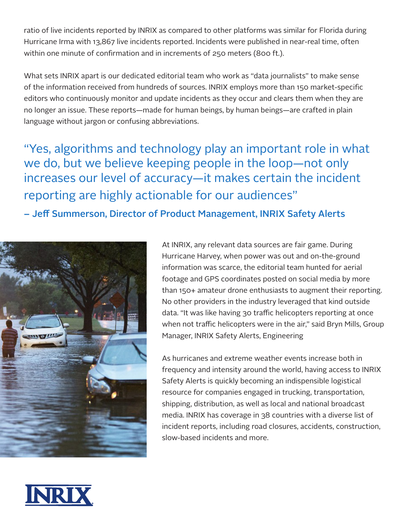ratio of live incidents reported by INRIX as compared to other platforms was similar for Florida during Hurricane Irma with 13,867 live incidents reported. Incidents were published in near-real time, often within one minute of confirmation and in increments of 250 meters (800 ft.).

What sets INRIX apart is our dedicated editorial team who work as "data journalists" to make sense of the information received from hundreds of sources. INRIX employs more than 150 market-specific editors who continuously monitor and update incidents as they occur and clears them when they are no longer an issue. These reports—made for human beings, by human beings—are crafted in plain language without jargon or confusing abbreviations.

"Yes, algorithms and technology play an important role in what we do, but we believe keeping people in the loop—not only increases our level of accuracy—it makes certain the incident reporting are highly actionable for our audiences"

– Jeff Summerson, Director of Product Management, INRIX Safety Alerts



At INRIX, any relevant data sources are fair game. During Hurricane Harvey, when power was out and on-the-ground information was scarce, the editorial team hunted for aerial footage and GPS coordinates posted on social media by more than 150+ amateur drone enthusiasts to augment their reporting. No other providers in the industry leveraged that kind outside data. "It was like having 30 traffic helicopters reporting at once when not traffic helicopters were in the air," said Bryn Mills, Group Manager, INRIX Safety Alerts, Engineering

As hurricanes and extreme weather events increase both in frequency and intensity around the world, having access to INRIX Safety Alerts is quickly becoming an indispensible logistical resource for companies engaged in trucking, transportation, shipping, distribution, as well as local and national broadcast media. INRIX has coverage in 38 countries with a diverse list of incident reports, including road closures, accidents, construction, slow-based incidents and more.

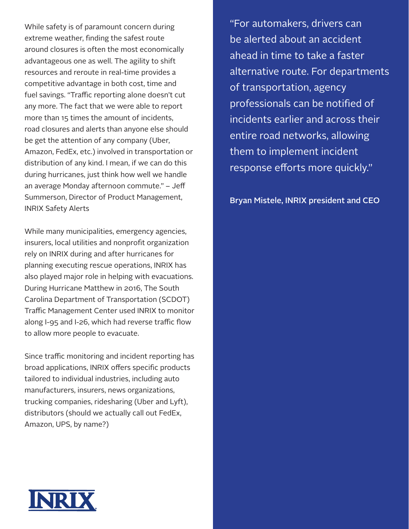While safety is of paramount concern during extreme weather, finding the safest route around closures is often the most economically advantageous one as well. The agility to shift resources and reroute in real-time provides a competitive advantage in both cost, time and fuel savings. "Traffic reporting alone doesn't cut any more. The fact that we were able to report more than 15 times the amount of incidents, road closures and alerts than anyone else should be get the attention of any company (Uber, Amazon, FedEx, etc.) involved in transportation or distribution of any kind. I mean, if we can do this during hurricanes, just think how well we handle an average Monday afternoon commute." – Jeff Summerson, Director of Product Management, INRIX Safety Alerts

While many municipalities, emergency agencies, insurers, local utilities and nonprofit organization rely on INRIX during and after hurricanes for planning executing rescue operations, INRIX has also played major role in helping with evacuations. During Hurricane Matthew in 2016, The South Carolina Department of Transportation (SCDOT) Traffic Management Center used INRIX to monitor along I-95 and I-26, which had reverse traffic flow to allow more people to evacuate.

Since traffic monitoring and incident reporting has broad applications, INRIX offers specific products tailored to individual industries, including auto manufacturers, insurers, news organizations, trucking companies, ridesharing (Uber and Lyft), distributors (should we actually call out FedEx, Amazon, UPS, by name?)

"For automakers, drivers can be alerted about an accident ahead in time to take a faster alternative route. For departments of transportation, agency professionals can be notified of incidents earlier and across their entire road networks, allowing them to implement incident response efforts more quickly."

Bryan Mistele, INRIX president and CEO